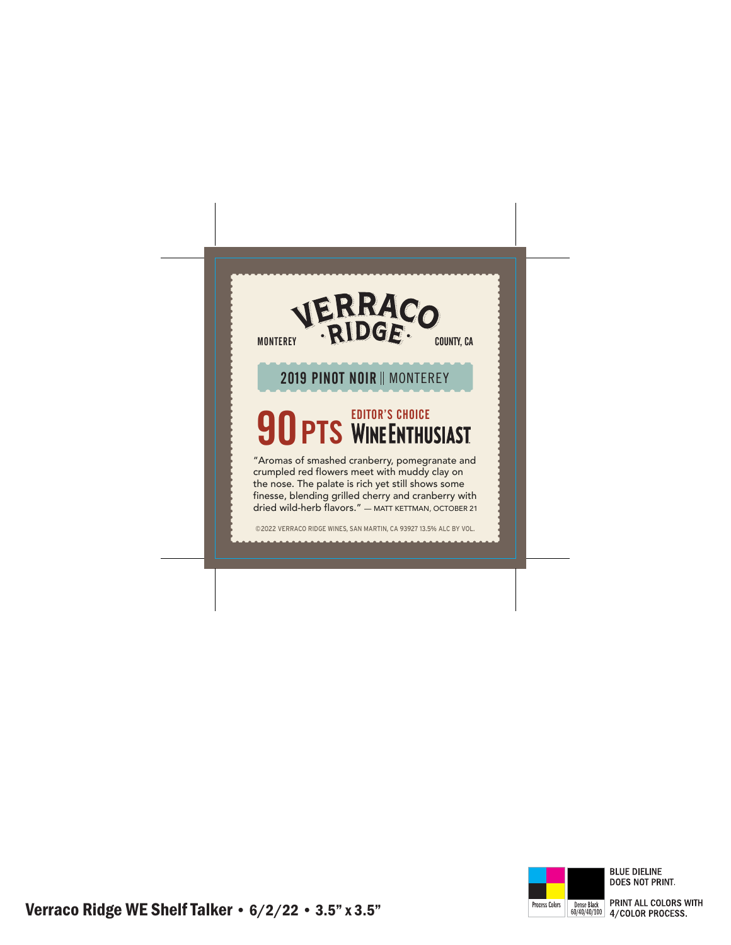

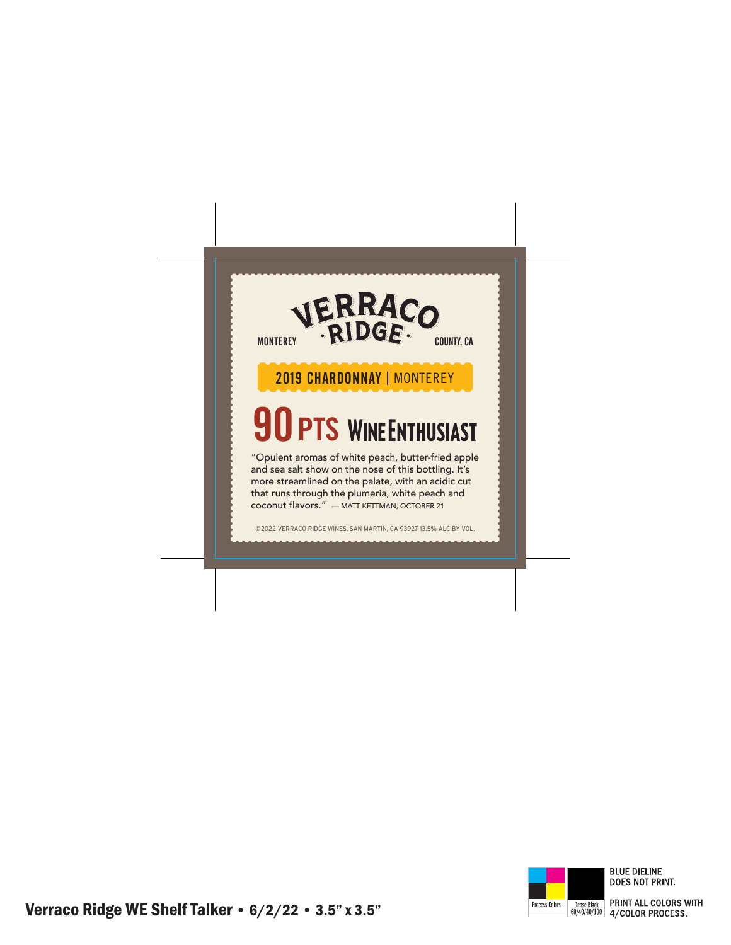## VERRACO MONTEREY . RIDGE. 2019 CHARDONNAY || MONTEREY **90 PTS WINEENTHUSIAST** "Opulent aromas of white peach, butter-fried apple and sea salt show on the nose of this bottling. It's more streamlined on the palate, with an acidic cut that runs through the plumeria, white peach and coconut flavors." — MATT KETTMAN, OCTOBER 21

©2022 VERRACO RIDGE WINES, SAN MARTIN, CA 93927 13.5% ALC BY VOL.